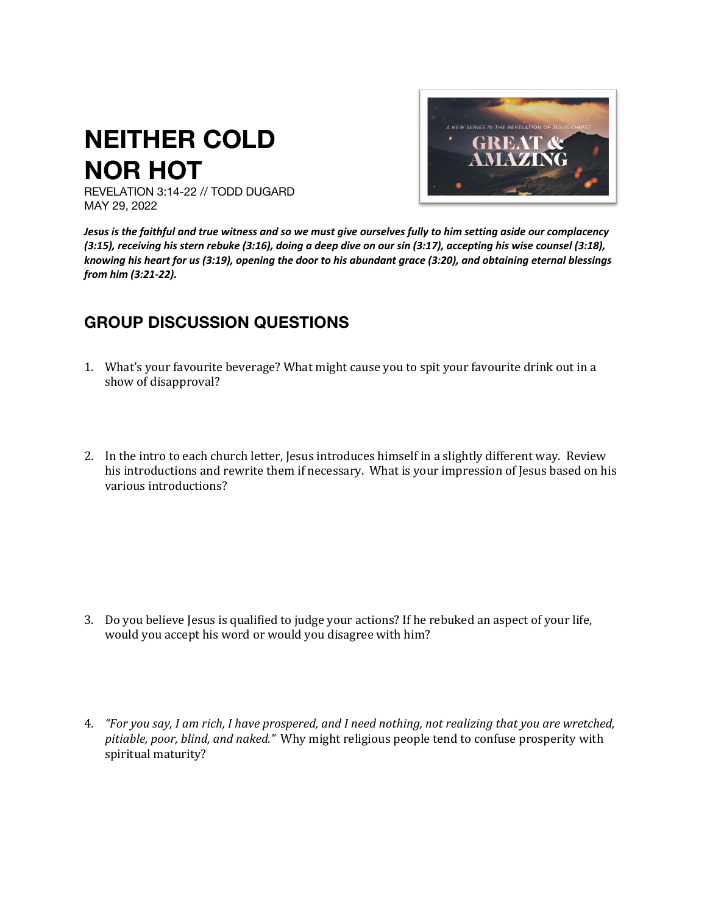## **NEITHER COLD NOR HOT**



REVELATION 3:14-22 // TODD DUGARD MAY 29, 2022

*Jesus is the faithful and true witness and so we must give ourselves fully to him setting aside our complacency (3:15), receiving his stern rebuke (3:16), doing a deep dive on our sin (3:17), accepting his wise counsel (3:18), knowing his heart for us (3:19), opening the door to his abundant grace (3:20), and obtaining eternal blessings from him (3:21-22).*

## **GROUP DISCUSSION QUESTIONS**

- 1. What's your favourite beverage? What might cause you to spit your favourite drink out in a show of disapproval?
- 2. In the intro to each church letter, Jesus introduces himself in a slightly different way. Review his introductions and rewrite them if necessary. What is your impression of Jesus based on his various introductions?

- 3. Do you believe Jesus is qualified to judge your actions? If he rebuked an aspect of your life, would you accept his word or would you disagree with him?
- 4. *"For you say, I am rich, I have prospered, and I need nothing, not realizing that you are wretched, pitiable, poor, blind, and naked."* Why might religious people tend to confuse prosperity with spiritual maturity?